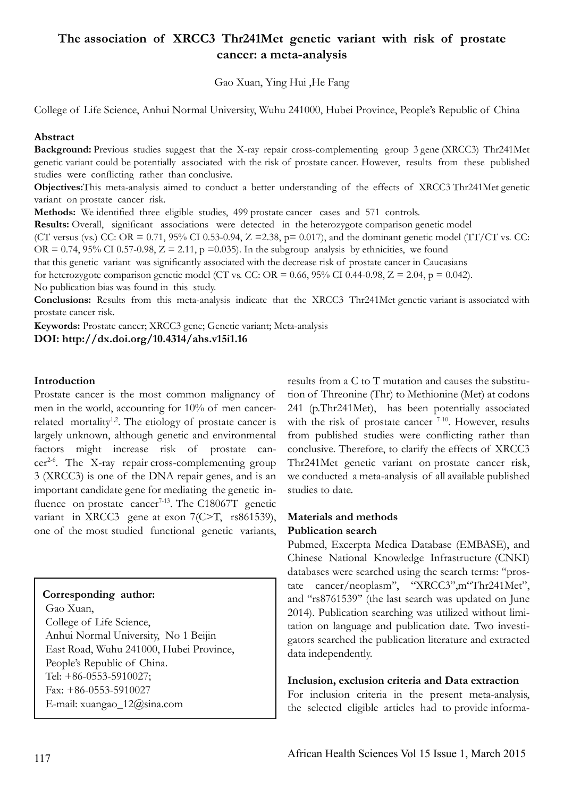# **The association of XRCC3 Thr241Met genetic variant with risk of prostate cancer: a meta-analysis**

Gao Xuan, Ying Hui ,He Fang

College of Life Science, Anhui Normal University, Wuhu 241000, Hubei Province, People's Republic of China

## **Abstract**

**Background:** Previous studies suggest that the X-ray repair cross-complementing group 3 gene (XRCC3) Thr241Met genetic variant could be potentially associated with the risk of prostate cancer. However, results from these published studies were conflicting rather than conclusive.

**Objectives:**This meta-analysis aimed to conduct a better understanding of the effects of XRCC3 Thr241Met genetic variant on prostate cancer risk.

**Methods:** We identified three eligible studies, 499 prostate cancer cases and 571 controls. **Results:** Overall, significant associations were detected in the heterozygote comparison genetic model (CT versus (vs.) CC: OR = 0.71, 95% CI 0.53-0.94,  $Z = 2.38$ ,  $p = 0.017$ ), and the dominant genetic model (TT/CT vs. CC: OR = 0.74, 95% CI 0.57-0.98,  $Z = 2.11$ , p = 0.035). In the subgroup analysis by ethnicities, we found that this genetic variant was significantly associated with the decrease risk of prostate cancer in Caucasians for heterozygote comparison genetic model (CT vs. CC: OR =  $0.66$ , 95% CI 0.44-0.98, Z = 2.04, p = 0.042). No publication bias was found in this study.

**Conclusions:** Results from this meta-analysis indicate that the XRCC3 Thr241Met genetic variant is associated with prostate cancer risk.

**Keywords:** Prostate cancer; XRCC3 gene; Genetic variant; Meta-analysis **DOI: http://dx.doi.org/10.4314/ahs.v15i1.16**

# **Introduction**

Prostate cancer is the most common malignancy of men in the world, accounting for 10% of men cancerrelated mortality<sup>1,2</sup>. The etiology of prostate cancer is largely unknown, although genetic and environmental factors might increase risk of prostate cancer2-6. The X-ray repair cross-complementing group 3 (XRCC3) is one of the DNA repair genes, and is an important candidate gene for mediating the genetic influence on prostate cancer<sup>7-13</sup>. The C18067T genetic variant in XRCC3 gene at exon 7(C>T, rs861539), one of the most studied functional genetic variants,

## **Corresponding author:**

 Gao Xuan, College of Life Science, Anhui Normal University, No 1 Beijin East Road, Wuhu 241000, Hubei Province, People's Republic of China. Tel: +86-0553-5910027; Fax: +86-0553-5910027 E-mail: xuangao\_12@sina.com

results from a C to T mutation and causes the substitution of Threonine (Thr) to Methionine (Met) at codons 241 (p.Thr241Met), has been potentially associated with the risk of prostate cancer  $7-10$ . However, results from published studies were conflicting rather than conclusive. Therefore, to clarify the effects of XRCC3 Thr241Met genetic variant on prostate cancer risk, we conducted a meta-analysis of all available published studies to date.

# **Materials and methods Publication search**

Pubmed, Excerpta Medica Database (EMBASE), and Chinese National Knowledge Infrastructure (CNKI) databases were searched using the search terms: "prostate cancer/neoplasm'', ''XRCC3",m"Thr241Met", and ''rs8761539'' (the last search was updated on June 2014). Publication searching was utilized without limitation on language and publication date. Two investigators searched the publication literature and extracted data independently.

## **Inclusion, exclusion criteria and Data extraction**

For inclusion criteria in the present meta-analysis, the selected eligible articles had to provide informa-

ſ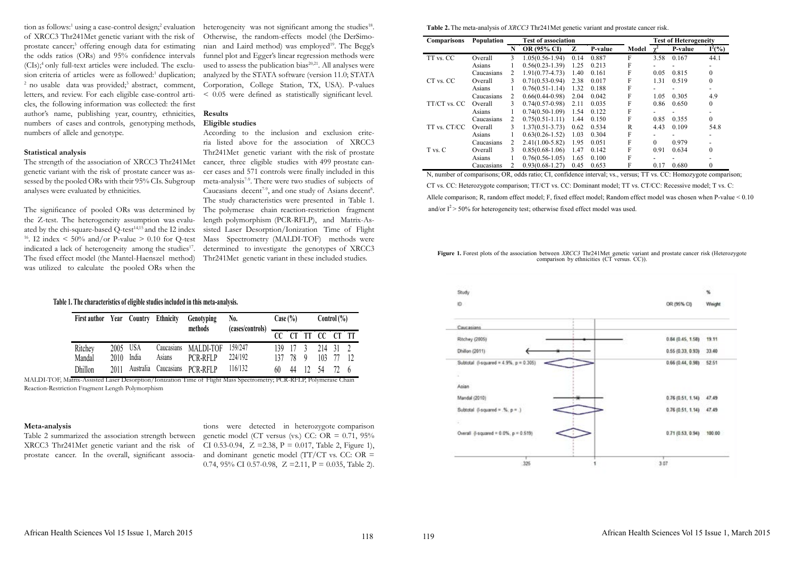tion as follows:<sup>1</sup> using a case-control design;<sup>2</sup> evaluation heterogeneity was not significant among the studies<sup>18</sup>. of XRCC3 Thr241Met genetic variant with the risk of prostate cancer;<sup>3</sup> offering enough data for estimating the odds ratios (ORs) and 95% confidence intervals  $(CIs)$ ;<sup>4</sup> only full-text articles were included. The exclusion criteria of articles were as followed:<sup>1</sup> duplication;<br><sup>2</sup> no usable data was provided:<sup>3</sup> abstract comment no usable data was provided;<sup>3</sup> abstract, comment, letters, and review. For each eligible case-control articles, the following information was collected: the first author's name, publishing year, country, ethnicities, numbers of cases and controls, genotyping methods, numbers of allele and genotype.

### **Statistical analysis**

The strength of the association of XRCC3 Thr241Met genetic variant with the risk of prostate cancer was assessed by the pooled ORs with their 95% CIs. Subgroup analyses were evaluated by ethnicities.

The significance of pooled ORs was determined by the Z-test. The heterogeneity assumption was evaluated by the chi-square-based Q-test<sup>14,15</sup> and the I2 index <sup>16</sup>. I2 index  $\leq 50\%$  and/or P-value  $\geq 0.10$  for O-test indicated a lack of heterogeneity among the studies<sup>17</sup>. The fixed effect model (the Mantel-Haenszel method) was utilized to calculate the pooled ORs when the

> tions were detected in heterozygote comparison genetic model (CT versus (vs.) CC: OR =  $0.71$ ,  $95\%$ CI 0.53-0.94,  $Z = 2.38$ ,  $P = 0.017$ , Table 2, Figure 1), and dominant genetic model  $(TT/CT \text{ vs. CC: OR } =$ 0.74, 95% CI 0.57-0.98,  $Z = 2.11$ ,  $P = 0.035$ , Table 2).



Otherwise, the random-effects model (the DerSimonian and Laird method) was employed<sup>19</sup>. The Begg's funnel plot and Egger's linear regression methods were used to assess the publication bias<sup> $20,21$ </sup>. All analyses were analyzed by the STATA software (version 11.0; STATA Corporation, College Station, TX, USA). P-values < 0.05 were defined as statistically significant level.

# **Results**

# **Eligible studies**

According to the inclusion and exclusion criteria listed above for the association of XRCC3 Thr241Met genetic variant with the risk of prostate cancer, three eligible studies with 499 prostate cancer cases and 571 controls were finally included in this meta-analysis<sup>7-9</sup>. There were two studies of subjects of Caucasians decent<sup> $7-9$ </sup>, and one study of Asians decent<sup>8</sup>. The study characteristics were presented in Table 1. The polymerase chain reaction-restriction fragment length polymorphism (PCR-RFLP), and Matrix-Assisted Laser Desorption/Ionization Time of Flight Mass Spectrometry (MALDI-TOF) methods were determined to investigate the genotypes of XRCC3 Thr241Met genetic variant in these included studies.

N, number of comparisons; OR, odds ratio; CI, confidence interval; vs., versus; TT vs. CC: Homozygote comparison; CT vs. CC: Heterozygote comparison; TT/CT vs. CC: Dominant model; TT vs. CT/CC: Recessive model; T vs. C: Allele comparison; R, random effect model; F, fixed effect model; Random effect model was chosen when P-value < 0.10 and/or  $I^2$  > 50% for heterogeneity test; otherwise fixed effect model was used.

#### **Meta-analysis**

Table 2 summarized the association strength between XRCC3 Thr241Met genetic variant and the risk of prostate cancer. In the overall, significant associa-

| First author Year Country Ethnicity |      |            |                      | Genotyping<br>methods | N <sub>0</sub> .<br>(cases/controls) |                 | Case $(\% )$    |               | Control $\left(\frac{9}{6}\right)$ |  |                |
|-------------------------------------|------|------------|----------------------|-----------------------|--------------------------------------|-----------------|-----------------|---------------|------------------------------------|--|----------------|
|                                     |      |            |                      |                       |                                      | $\overline{CC}$ | $\overline{CT}$ |               | TT CC CT TT                        |  |                |
| Ritchey                             | 2005 | <b>USA</b> | Caucasians           | <b>MALDI-TOF</b>      | 159/247                              | 139             | - 17            | $\mathcal{R}$ | 214 31                             |  |                |
| Mandal                              | 2010 | India      | Asians               | PCR-RFLP              | 224/192                              | 137             | 78              | 9             | 103                                |  | $\frac{12}{2}$ |
| Dhillon                             | 2011 |            | Australia Caucasians | PCR-RFLP              | 116/132                              | 60              | 44              | 12            | 54                                 |  | 6              |

### **Table 1. The characteristics of eligible studies included in this meta-analysis.**

MALDI-TOF, Matrix-Assisted Laser Desorption/Ionization Time of Flight Mass Spectrometry; PCR-RFLP, Polymerase Chain Reaction-Restriction Fragment Length Polymorphism

#### **Table 2.**The meta-analysis of *XRCC3* Thr241Met genetic variant and prostate cancer risk.

| <b>Comparisons</b> | Population | <b>Test of association</b> |                     |      |         |       | <b>Test of Heterogeneity</b> |         |                  |  |
|--------------------|------------|----------------------------|---------------------|------|---------|-------|------------------------------|---------|------------------|--|
|                    |            | N                          | <b>OR (95% CI)</b>  | Z    | P-value | Model |                              | P-value | $I^2(\%)$        |  |
| TT vs. CC          | Overall    | 3                          | $1.05(0.56 - 1.94)$ | 0.14 | 0.887   | F     | 3.58                         | 0.167   | 44.1             |  |
|                    | Asians     |                            | $0.56(0.23 - 1.39)$ | 1.25 | 0.213   | F     |                              |         |                  |  |
|                    | Caucasians | 2                          | $1.91(0.77-4.73)$   | 1.40 | 0.161   | F     | 0.05                         | 0.815   | $\mathbf{0}$     |  |
| CT vs. CC          | Overall    | 3                          | $0.71(0.53-0.94)$   | 2.38 | 0.017   | F     | 1.31                         | 0.519   | $\theta$         |  |
|                    | Asians     |                            | $0.76(0.51-1.14)$   | 1.32 | 0.188   | F     |                              |         |                  |  |
|                    | Caucasians | 2                          | $0.66(0.44-0.98)$   | 2.04 | 0.042   | F     | 1.05                         | 0.305   | 4.9              |  |
| TT/CT vs. CC       | Overall    | 3                          | $0.74(0.57-0.98)$   | 2.11 | 0.035   | F     | 0.86                         | 0.650   | $\mathbf{0}$     |  |
|                    | Asians     |                            | $0.74(0.50-1.09)$   | 1.54 | 0.122   | F     |                              |         |                  |  |
|                    | Caucasians | 2                          | $0.75(0.51-1.11)$   | 1.44 | 0.150   | F     | 0.85                         | 0.355   | $\mathbf{0}$     |  |
| TT vs. CT/CC       | Overall    | 3                          | $1.37(0.51 - 3.73)$ | 0.62 | 0.534   | R     | 4.43                         | 0.109   | 54.8             |  |
|                    | Asians     |                            | $0.63(0.26 - 1.52)$ | 1.03 | 0.304   | F     |                              |         |                  |  |
|                    | Caucasians | 2                          | $2.41(1.00-5.82)$   | 1.95 | 0.051   | F     | $\theta$                     | 0.979   |                  |  |
| T vs. C            | Overall    | 3                          | $0.85(0.68-1.06)$   | 1.47 | 0.142   | F     | 0.91                         | 0.634   | $\theta$         |  |
|                    | Asians     |                            | $0.76(0.56 - 1.05)$ | 1.65 | 0.100   | F     |                              |         |                  |  |
|                    | Caucasians | 2                          | $0.93(0.68-1.27)$   | 0.45 | 0.653   | F     | 0.17                         | 0.680   | $\boldsymbol{0}$ |  |

**Figure 1.** Forest plots of the association between *XRCC3* Thr241Met genetic variant and prostate cancer risk (Heterozygote comparison by ethnicities (CT versus. CC)).

118 119

|    | OR (95% CI)              | Weight |  |
|----|--------------------------|--------|--|
|    | 0.84 (0.45, 1.58) 19.11  |        |  |
|    | 0.55 (0.33, 0.93) 33.40  |        |  |
|    | 0.66 (0.44, 0.98) 52.51  |        |  |
| ı. | $0.76(0.51, 1.14)$ 47.49 |        |  |
|    | $0.76(0.51, 1.14)$ 47.49 |        |  |
|    | 0.71 (0.53, 0.94) 100.00 |        |  |
|    | 3.07                     |        |  |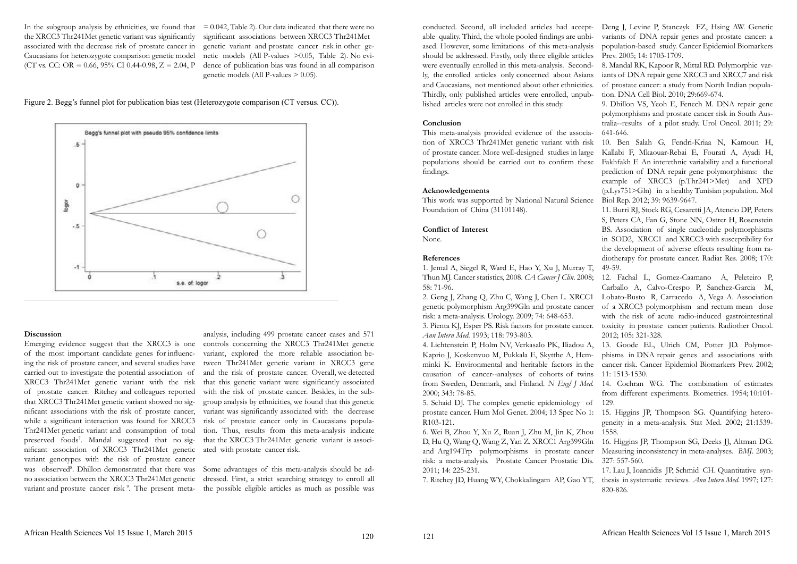In the subgroup analysis by ethnicities, we found that  $= 0.042$ , Table 2). Our data indicated that there were no the XRCC3 Thr241Met genetic variant was significantly associated with the decrease risk of prostate cancer in Caucasians for heterozygote comparison genetic model (CT vs. CC: OR = 0.66, 95% CI 0.44-0.98,  $Z = 2.04$ , P

significant associations between XRCC3 Thr241Met genetic variant and prostate cancer risk in other genetic models (All P-values >0.05, Table 2). No evidence of publication bias was found in all comparison genetic models (All P-values  $> 0.05$ ).

Emerging evidence suggest that the XRCC3 is one of the most important candidate genes for influencing the risk of prostate cancer, and several studies have carried out to investigate the potential association of XRCC3 Thr241Met genetic variant with the risk of prostate cancer. Ritchey and colleagues reported that XRCC3 Thr241Met genetic variant showed no significant associations with the risk of prostate cancer, while a significant interaction was found for XRCC3 Thr241Met genetic variant and consumption of total preserved foods<sup>7</sup>. Mandal suggested that no significant association of XRCC3 Thr241Met genetic variant genotypes with the risk of prostate cancer was observed<sup>8</sup>. Dhillon demonstrated that there was no association between the XRCC3 Thr241Met genetic variant and prostate cancer risk<sup>9</sup>. The present meta-

#### **Discussion**

### **Conclusion**

This meta-analysis provided evidence of the association of XRCC3 Thr241Met genetic variant with risk of prostate cancer. More well-designed studies in large populations should be carried out to confirm these findings.

### **Acknowledgements**

This work was supported by National Natural Science Foundation of China (31101148).

### **Conflict of Interest**

None.

### **References**

1. Jemal A, Siegel R, Ward E, Hao Y, Xu J, Murray T, 58: 71-96.

Thun MJ. Cancer statistics, 2008. *CA Cancer J Clin.* 2008; 2. Geng J, Zhang Q, Zhu C, Wang J, Chen L. XRCC1 genetic polymorphism Arg399Gln and prostate cancer risk: a meta-analysis. Urology. 2009; 74: 648-653. 3. Pienta KJ, Esper PS. Risk factors for prostate cancer. toxicity in prostate cancer patients. Radiother Oncol. *Ann Intern Med*. 1993; 118: 793-803.

prostate cancer. Hum Mol Genet. 2004; 13 Spec No 1: R103-121.

conducted. Second, all included articles had accept-Deng J, Levine P, Stanczyk FZ, Hsing AW. Genetic able quality. Third, the whole pooled findings are unbiased. However, some limitations of this meta-analysis should be addressed. Firstly, only three eligible articles were eventually enrolled in this meta-analysis. Secondly, the enrolled articles only concerned about Asians and Caucasians, not mentioned about other ethnicities. Thirdly, only published articles were enrolled, unpublished articles were not enrolled in this study. variants of DNA repair genes and prostate cancer: a population-based study. Cancer Epidemiol Biomarkers Prev. 2005; 14: 1703-1709. 8. Mandal RK, Kapoor R, Mittal RD. Polymorphic variants of DNA repair gene XRCC3 and XRCC7 and risk of prostate cancer: a study from North Indian population. DNA Cell Biol. 2010; 29:669-674. 9. Dhillon VS, Yeoh E, Fenech M. DNA repair gene

Figure 2. Begg's funnel plot for publication bias test (Heterozygote comparison (CT versus. CC)).



analysis, including 499 prostate cancer cases and 571 controls concerning the XRCC3 Thr241Met genetic variant, explored the more reliable association between Thr241Met genetic variant in XRCC3 gene and the risk of prostate cancer. Overall, we detected that this genetic variant were significantly associated with the risk of prostate cancer. Besides, in the subgroup analysis by ethnicities, we found that this genetic variant was significantly associated with the decrease risk of prostate cancer only in Caucasians population. Thus, results from this meta-analysis indicate that the XRCC3 Thr241Met genetic variant is associated with prostate cancer risk.

Some advantages of this meta-analysis should be addressed. First, a strict searching strategy to enroll all the possible eligible articles as much as possible was 4. Lichtenstein P, Holm NV, Verkasalo PK, Iliadou A, Kaprio J, Koskenvuo M, Pukkala E, Skytthe A, Hemminki K. Environmental and heritable factors in the causation of cancer--analyses of cohorts of twins from Sweden, Denmark, and Finland. *N Engl J Med.* 2000; 343: 78-85. 5. Schaid DJ. The complex genetic epidemiology of 13. Goode EL, Ulrich CM, Potter JD. Polymorphisms in DNA repair genes and associations with cancer risk. Cancer Epidemiol Biomarkers Prev. 2002; 11: 1513-1530. 14. Cochran WG. The combination of estimates from different experiments. Biometrics. 1954; 10:101- 129.

6. Wei B, Zhou Y, Xu Z, Ruan J, Zhu M, Jin K, Zhou D, Hu Q, Wang Q, Wang Z, Yan Z. XRCC1 Arg399Gln and Arg194Trp polymorphisms in prostate cancer risk: a meta-analysis. Prostate Cancer Prostatic Dis. 2011; 14: 225-231. 1558. 16. Higgins JP, Thompson SG, Deeks JJ, Altman DG. Measuring inconsistency in meta-analyses. *BMJ*. 2003; 327: 557-560. 17. Lau J, Ioannidis JP, Schmid CH. Quantitative syn-

polymorphisms and prostate cancer risk in South Australia--results of a pilot study. Urol Oncol. 2011; 29: 641-646.

7. Ritchey JD, Huang WY, Chokkalingam AP, Gao YT, thesis in systematic reviews. *Ann Intern Med.* 1997; 127: 820-826.

10. Ben Salah G, Fendri-Kriaa N, Kamoun H, Kallabi F, Mkaouar-Rebai E, Fourati A, Ayadi H, Fakhfakh F. An interethnic variability and a functional prediction of DNA repair gene polymorphisms: the example of XRCC3 (p.Thr241>Met) and XPD (p.Lys751>Gln) in a healthy Tunisian population. Mol Biol Rep. 2012; 39: 9639-9647.

11. Burri RJ, Stock RG, Cesaretti JA, Atencio DP, Peters S, Peters CA, Fan G, Stone NN, Ostrer H, Rosenstein BS. Association of single nucleotide polymorphisms in SOD2, XRCC1 and XRCC3 with susceptibility for the development of adverse effects resulting from radiotherapy for prostate cancer. Radiat Res. 2008; 170: 49-59.

12. Fachal L, Gomez-Caamano A, Peleteiro P, Carballo A, Calvo-Crespo P, Sanchez-Garcia M, Lobato-Busto R, Carracedo A, Vega A. Association of a XRCC3 polymorphism and rectum mean dose with the risk of acute radio-induced gastrointestinal 2012; 105: 321-328.

> 15. Higgins JP, Thompson SG. Quantifying heterogeneity in a meta-analysis. Stat Med. 2002; 21:1539